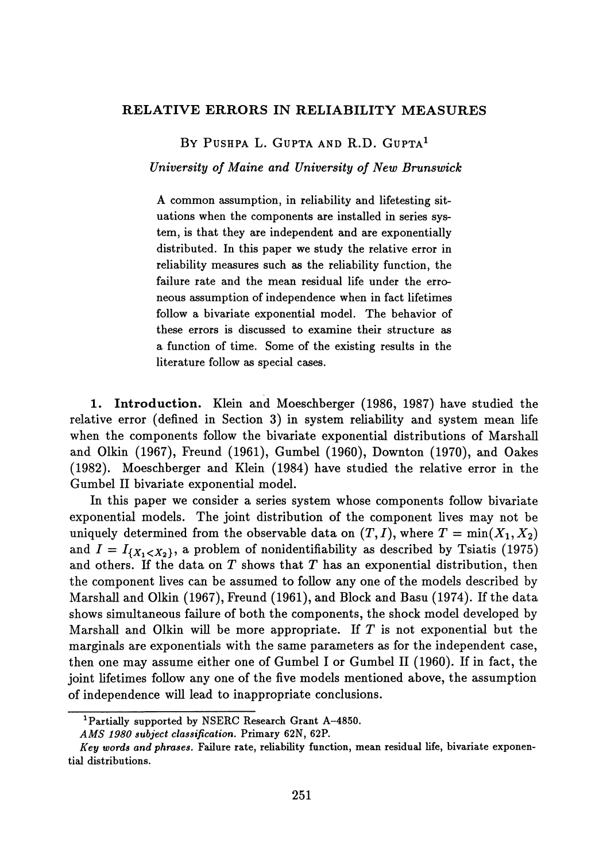## **RELATIVE ERRORS IN RELIABILITY MEASURES**

BY PUSHPA L. GUPTA AND R.D. GUPTA<sup>1</sup>

*University of Maine and University of New Brunswick*

A common assumption, in reliability and lifetesting sit uations when the components are installed in series sys tem, is that they are independent and are exponentially distributed. In this paper we study the relative error in reliability measures such as the reliability function, the failure rate and the mean residual life under the erro neous assumption of independence when in fact lifetimes follow a bivariate exponential model. The behavior of these errors is discussed to examine their structure as a function of time. Some of the existing results in the literature follow as special cases.

**1. Introduction.** Klein and Moeschberger (1986, 1987) have studied the relative error (defined in Section 3) in system reliability and system mean life when the components follow the bivariate exponential distributions of Marshall and Olkin (1967), Freund (1961), Gumbel (1960), Downton (1970), and Oakes (1982). Moeschberger and Klein (1984) have studied the relative error in the Gumbel II bivariate exponential model.

In this paper we consider a series system whose components follow bivariate exponential models. The joint distribution of the component lives may not be uniquely determined from the observable data on  $(T, I)$ , where  $T = \min(X_1, X_2)$ and  $I = I_{\{X_1 < X_2\}}$ , a problem of nonidentifiability as described by Tsiatis (1975) and others. If the data on *T* shows that *T* has an exponential distribution, then the component lives can be assumed to follow any one of the models described by Marshall and Olkin (1967), Freund (1961), and Block and Basu (1974). If the data shows simultaneous failure of both the components, the shock model developed by Marshall and Olkin will be more appropriate. If *T* is not exponential but the marginals are exponentials with the same parameters as for the independent case, then one may assume either one of Gumbel I or Gumbel II (1960). If in fact, the joint lifetimes follow any one of the five models mentioned above, the assumption of independence will lead to inappropriate conclusions.

<sup>&</sup>lt;sup>1</sup>Partially supported by NSERC Research Grant A-4850.

*AMS 1980 subject classification.* Primary 62N, 62P.

*Key words and phrases.* Failure rate, reliability function, mean residual life, bivariate exponen tial distributions.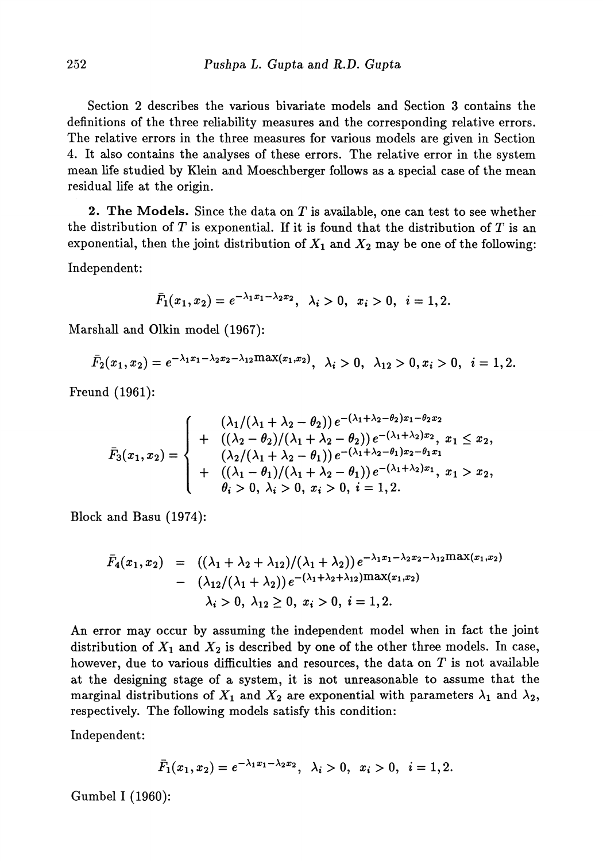Section 2 describes the various bivariate models and Section 3 contains the definitions of the three reliability measures and the corresponding relative errors. The relative errors in the three measures for various models are given in Section 4. It also contains the analyses of these errors. The relative error in the system mean life studied by Klein and Moeschberger follows as a special case of the mean residual life at the origin.

**2. The Models.** Since the data on *T* is available, one can test to see whether the distribution of *T* is exponential. If it is found that the distribution of *T* is an exponential, then the joint distribution of  $X_1$  and  $X_2$  may be one of the following:

Independent:

$$
\bar{F}_1(x_1,x_2)=e^{-\lambda_1x_1-\lambda_2x_2}, \ \lambda_i>0, \ \ x_i>0, \ \ i=1,2.
$$

Marshall and Olkin model (1967):

$$
\bar{F}_2(x_1,x_2)=e^{-\lambda_1x_1-\lambda_2x_2-\lambda_{12}\max(x_1,x_2)},\ \ \lambda_i>0,\ \ \lambda_{12}>0, x_i>0,\ \ i=1,2.
$$

Freund (1961):

$$
\bar{F}_3(x_1,x_2) = \begin{cases}\n(\lambda_1/(\lambda_1 + \lambda_2 - \theta_2)) e^{-(\lambda_1 + \lambda_2 - \theta_2)x_1 - \theta_2 x_2} \\
+ \left((\lambda_2 - \theta_2)/(\lambda_1 + \lambda_2 - \theta_2)\right) e^{-(\lambda_1 + \lambda_2)x_2}, x_1 \leq x_2, \\
(\lambda_2/(\lambda_1 + \lambda_2 - \theta_1)) e^{-(\lambda_1 + \lambda_2 - \theta_1)x_2 - \theta_1 x_1} \\
+ \left((\lambda_1 - \theta_1)/(\lambda_1 + \lambda_2 - \theta_1)\right) e^{-(\lambda_1 + \lambda_2)x_1}, x_1 > x_2, \\
\theta_i > 0, \lambda_i > 0, x_i > 0, i = 1, 2.\n\end{cases}
$$

Block and Basu (1974):

$$
\bar{F}_4(x_1, x_2) = ((\lambda_1 + \lambda_2 + \lambda_{12})/(\lambda_1 + \lambda_2)) e^{-\lambda_1 x_1 - \lambda_2 x_2 - \lambda_{12} \max(x_1, x_2)} \n- (\lambda_{12}/(\lambda_1 + \lambda_2)) e^{-(\lambda_1 + \lambda_2 + \lambda_{12}) \max(x_1, x_2)} \n\lambda_i > 0, \lambda_{12} \ge 0, x_i > 0, i = 1, 2.
$$

An error may occur by assuming the independent model when in fact the joint distribution of  $X_1$  and  $X_2$  is described by one of the other three models. In case, however, due to various difficulties and resources, the data on *T* is not available at the designing stage of a system, it is not unreasonable to assume that the marginal distributions of  $X_1$  and  $X_2$  are exponential with parameters  $\lambda_1$  and  $\lambda_2$ , respectively. The following models satisfy this condition:

Independent:

$$
\bar{F}_1(x_1,x_2)=e^{-\lambda_1x_1-\lambda_2x_2}, \ \ \lambda_i>0, \ \ x_i>0, \ \ i=1,2.
$$

Gumbel I (1960):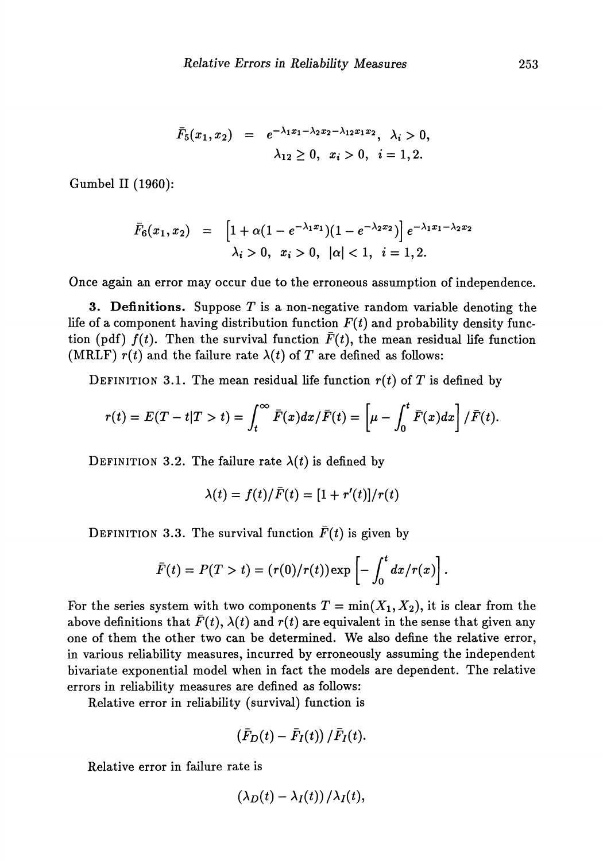$$
\bar{F}_5(x_1, x_2) = e^{-\lambda_1 x_1 - \lambda_2 x_2 - \lambda_{12} x_1 x_2}, \lambda_i > 0, \lambda_{12} \ge 0, x_i > 0, i = 1, 2.
$$

Gumbel II (1960):

$$
\bar{F}_6(x_1, x_2) = \left[1 + \alpha(1 - e^{-\lambda_1 x_1})(1 - e^{-\lambda_2 x_2})\right] e^{-\lambda_1 x_1 - \lambda_2 x_2} \lambda_i > 0, \quad x_i > 0, \quad |\alpha| < 1, \quad i = 1, 2.
$$

Once again an error may occur due to the erroneous assumption of independence.

**3. Definitions.** Suppose *T* is a non-negative random variable denoting the life of a component having distribution function  $F(t)$  and probability density function (pdf)  $f(t)$ . Then the survival function  $\bar{F}(t)$ , the mean residual life function (MRLF)  $r(t)$  and the failure rate  $\lambda(t)$  of T are defined as follows:

DEFINITION 3.1. The mean residual life function  $r(t)$  of T is defined by

$$
r(t) = E(T-t|T>t) = \int_t^{\infty} \overline{F}(x) dx / \overline{F}(t) = \left[\mu - \int_0^t \overline{F}(x) dx\right] / \overline{F}(t).
$$

DEFINITION 3.2. The failure rate  $\lambda(t)$  is defined by

$$
\lambda(t) = f(t)/\bar{F}(t) = [1 + r'(t)]/r(t)
$$

DEFINITION 3.3. The survival function  $\bar{F}(t)$  is given by

$$
\bar{F}(t) = P(T > t) = (r(0)/r(t)) \exp \left[-\int_0^t dx/r(x)\right].
$$

For the series system with two components  $T = min(X_1, X_2)$ , it is clear from the above definitions that  $\bar{F}(t)$ ,  $\lambda(t)$  and  $r(t)$  are equivalent in the sense that given any one of them the other two can be determined. We also define the relative error, in various reliability measures, incurred by erroneously assuming the independent bivariate exponential model when in fact the models are dependent. The relative errors in reliability measures are defined as follows:

Relative error in reliability (survival) function is

$$
\left(\bar{F}_D(t)-\bar{F}_I(t)\right)/\bar{F}_I(t).
$$

Relative error in failure rate is

$$
\left(\lambda_D(t)-\lambda_I(t)\right)/\lambda_I(t),
$$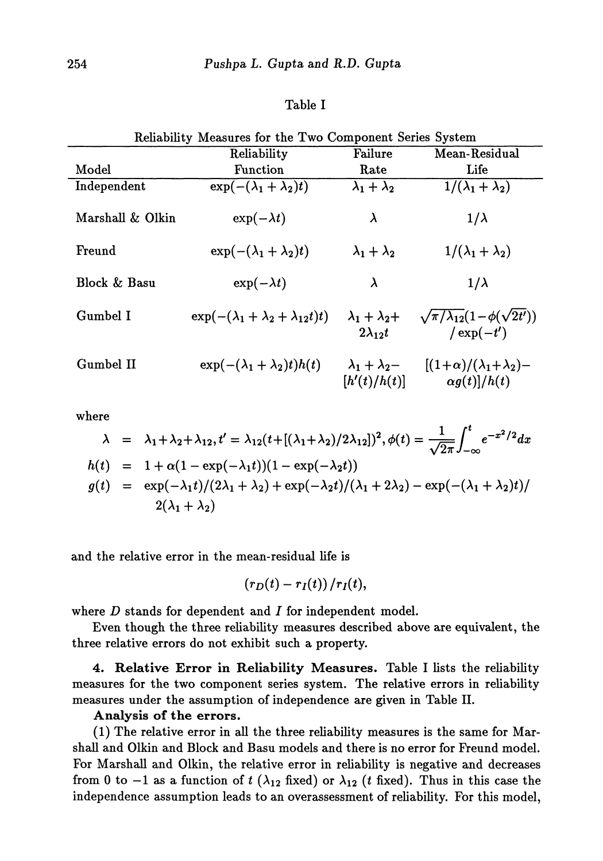## Table I

|  |  | Reliability Measures for the Two Component Series System |  |
|--|--|----------------------------------------------------------|--|
|  |  |                                                          |  |

|                  | Reliability                                       | Failure                                       | Mean-Residual                                                     |
|------------------|---------------------------------------------------|-----------------------------------------------|-------------------------------------------------------------------|
| Model            | <b>Function</b>                                   | Rate                                          | Life                                                              |
| Independent      | $\exp(-(\lambda_1 + \lambda_2)t)$                 | $\lambda_1 + \lambda_2$                       | $1/(\lambda_1 + \lambda_2)$                                       |
| Marshall & Olkin | $\exp(-\lambda t)$                                | λ                                             | $1/\lambda$                                                       |
| Freund           | $\exp(-(\lambda_1 + \lambda_2)t)$                 | $\lambda_1 + \lambda_2$                       | $1/(\lambda_1 + \lambda_2)$                                       |
| Block & Basu     | $\exp(-\lambda t)$                                | λ                                             | $1/\lambda$                                                       |
| Gumbel I         | $\exp(-(\lambda_1 + \lambda_2 + \lambda_{12}t)t)$ | $\lambda_1 + \lambda_2 +$<br>$2\lambda_{12}t$ | $\sqrt{\pi/\lambda_{12}}(1-\phi(\sqrt{2t'}))$<br>$\ell \exp(-t')$ |
| Gumbel II        | $\exp(-(\lambda_1 + \lambda_2)t)h(t)$             | $\lambda_1 + \lambda_2$<br>[h'(t)/h(t)]       | $[(1+\alpha)/(\lambda_1+\lambda_2)-$<br>$\alpha g(t)$  / $h(t)$   |

where

$$
\lambda = \lambda_1 + \lambda_2 + \lambda_{12}, t' = \lambda_{12}(t + [(\lambda_1 + \lambda_2)/2\lambda_{12}])^2, \phi(t) = \frac{1}{\sqrt{2\pi}} \int_{-\infty}^t e^{-x^2/2} dx
$$
  
\n
$$
h(t) = 1 + \alpha(1 - \exp(-\lambda_1 t))(1 - \exp(-\lambda_2 t))
$$
  
\n
$$
g(t) = \exp(-\lambda_1 t)/(2\lambda_1 + \lambda_2) + \exp(-\lambda_2 t)/(\lambda_1 + 2\lambda_2) - \exp(-(\lambda_1 + \lambda_2)t)/
$$
  
\n
$$
2(\lambda_1 + \lambda_2)
$$

 $\overline{a}$ 

and the relative error in the mean-residual life is

$$
\left(r_D(t)-r_I(t)\right)/r_I(t),
$$

where  $D$  stands for dependent and  $I$  for independent model.

Even though the three reliability measures described above are equivalent, the three relative errors do not exhibit such a property.

**4. Relative Error in Reliability Measures.** Table I lists the reliability measures for the two component series system. The relative errors in reliability measures under the assumption of independence are given in Table **II.**

# **Analysis of the errors.**

(1) The relative error in all the three reliability measures is the same for Mar shall and Olkin and Block and Basu models and there is no error for Freund model. For Marshall and Olkin, the relative error in reliability is negative and decreases from 0 to  $-1$  as a function of t ( $\lambda_{12}$  fixed) or  $\lambda_{12}$  (t fixed). Thus in this case the independence assumption leads to an overassessment of reliability. For this model,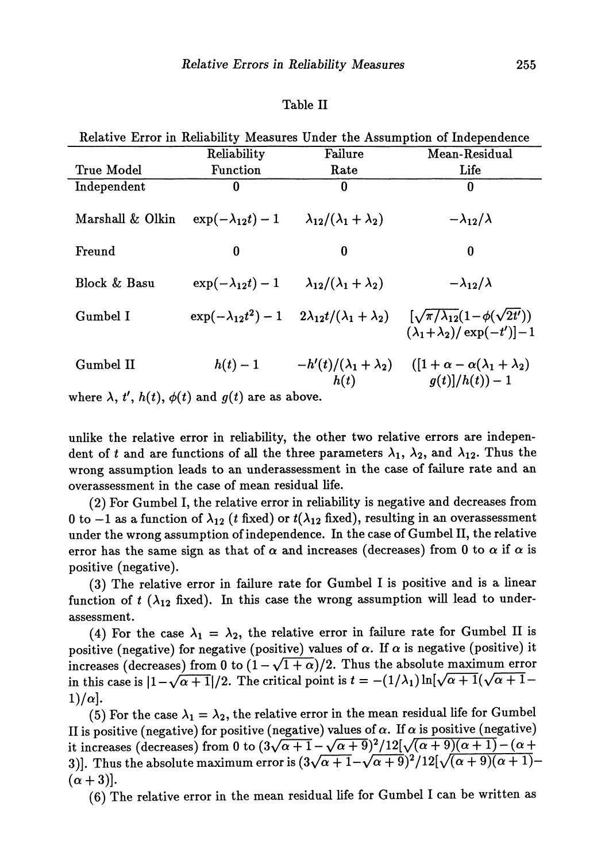#### Table II

| Relative Error in Reliability Measures Under the Assumption of Independence |                            |                                        |                                                                                                                                 |  |  |  |  |
|-----------------------------------------------------------------------------|----------------------------|----------------------------------------|---------------------------------------------------------------------------------------------------------------------------------|--|--|--|--|
|                                                                             | Reliability                | Failure                                | Mean-Residual                                                                                                                   |  |  |  |  |
| <b>True Model</b>                                                           | Function                   | Rate                                   | Life                                                                                                                            |  |  |  |  |
| Independent                                                                 | 0                          | 0                                      | 0                                                                                                                               |  |  |  |  |
| Marshall & Olkin                                                            | $\exp(-\lambda_{12}t)-1$   | $\lambda_{12}/(\lambda_1+\lambda_2)$   | $-\lambda_{12}/\lambda$                                                                                                         |  |  |  |  |
| Freund                                                                      | $\bf{0}$                   | $\bf{0}$                               | 0                                                                                                                               |  |  |  |  |
| Block & Basu                                                                | $\exp(-\lambda_{12}t)-1$   | $\lambda_{12}/(\lambda_1+\lambda_2)$   | $-\lambda_{12}/\lambda$                                                                                                         |  |  |  |  |
| Gumbel I                                                                    | $\exp(-\lambda_{12}t^2)-1$ |                                        | $2\lambda_{12}t/(\lambda_1+\lambda_2)$ $[\sqrt{\pi/\lambda_{12}}(1-\phi(\sqrt{2t'}))]$<br>$(\lambda_1+\lambda_2)/\exp(-t')$ - 1 |  |  |  |  |
| Gumbel II                                                                   | $h(t)-1$                   | $-h'(t)/(\lambda_1+\lambda_2)$<br>h(t) | $([1 + \alpha - \alpha(\lambda_1 + \lambda_2))$<br>$g(t)/h(t)$ – 1                                                              |  |  |  |  |
| where $\lambda$ , $t'$ , $h(t)$ , $\phi(t)$ and $g(t)$ are as above.        |                            |                                        |                                                                                                                                 |  |  |  |  |

unlike the relative error in reliability, the other two relative errors are indepen dent of t and are functions of all the three parameters  $\lambda_1$ ,  $\lambda_2$ , and  $\lambda_{12}$ . Thus the wrong assumption leads to an underassessment in the case of failure rate and an overassessment in the case of mean residual life.

(2) For Gumbel I, the relative error in reliability is negative and decreases from  $0$  to  $-1$  as a function of  $\lambda_{12}$   $(t$  fixed) or  $t(\lambda_{12}% )$  fixed), resulting in an overassessment under the wrong assumption of independence. In the case of Gumbel II, the relative error has the same sign as that of  $\alpha$  and increases (decreases) from 0 to  $\alpha$  if  $\alpha$  is positive (negative).

(3) The relative error in failure rate for Gumbel I is positive and is a linear function of  $t$  ( $\lambda_{12}$  fixed). In this case the wrong assumption will lead to under assessment.

(4) For the case  $\lambda_1 = \lambda_2$ , the relative error in failure rate for Gumbel II is positive (negative) for negative (positive) values of  $\alpha$ . If  $\alpha$  is negative (positive) it increases (decreases) from 0 to  $(1-\sqrt{1+\alpha})/2$ . Thus the absolute maximum error in this case is  $\left|1-\sqrt{\alpha+1}\right|/2$ . The critical point is  $t = -(1/\lambda_1) \ln[\sqrt{\alpha+1}(\sqrt{\alpha+1}-1)]$  $1)/α$ .

(5) For the case  $\lambda_1 = \lambda_2,$  the relative error in the mean residual life for Gumbel II is positive (negative) for positive (negative) values of  $\alpha$ . If  $\alpha$  is positive (negative) it increases (decreases) from 0 to  $(3\sqrt{\alpha+1} - \sqrt{\alpha+9})^2/12[\sqrt{(\alpha+9)(\alpha+1)} - (\alpha+$ 3)]. Thus the absolute maximum error is  $(3\sqrt{\alpha}+1-\sqrt{\alpha}+9)^2/12[\sqrt{(\alpha+9)(\alpha+1)}\cdot$  $(\alpha + 3)$ ].

(6) The relative error in the mean residual life for Gumbel I can be written as